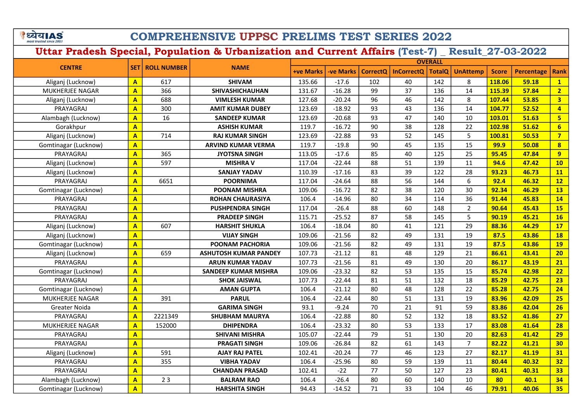े ध्येय AS

## COMPREHENSIVE UPPSC PRELIMS TEST SERIES 2022

| <b>CENTRE</b>        |                         |                        | <b>NAME</b>                  | <b>OVERALL</b>   |           |                 |                   |               |                 |              |                   |                         |
|----------------------|-------------------------|------------------------|------------------------------|------------------|-----------|-----------------|-------------------|---------------|-----------------|--------------|-------------------|-------------------------|
|                      |                         | <b>SET ROLL NUMBER</b> |                              | <b>+ve Marks</b> | -ve Marks | <b>CorrectQ</b> | <b>InCorrectQ</b> | <b>TotalQ</b> | <b>UnAttemp</b> | <b>Score</b> | <b>Percentage</b> | <b>Rank</b>             |
| Aliganj (Lucknow)    | $\overline{\mathbf{A}}$ | 617                    | <b>SHIVAM</b>                | 135.66           | $-17.6$   | 102             | 40                | 142           | 8               | 118.06       | 59.18             | $\mathbf{1}$            |
| MUKHERJEE NAGAR      | $\overline{A}$          | 366                    | <b>SHIVASHICHAUHAN</b>       | 131.67           | $-16.28$  | 99              | 37                | 136           | 14              | 115.39       | 57.84             | $\overline{2}$          |
| Aliganj (Lucknow)    | $\overline{\mathbf{A}}$ | 688                    | <b>VIMLESH KUMAR</b>         | 127.68           | $-20.24$  | 96              | 46                | 142           | 8               | 107.44       | 53.85             | $\overline{\mathbf{3}}$ |
| PRAYAGRAJ            | $\overline{\mathbf{A}}$ | 300                    | <b>AMIT KUMAR DUBEY</b>      | 123.69           | $-18.92$  | 93              | 43                | 136           | 14              | 104.77       | 52.52             | $\overline{4}$          |
| Alambagh (Lucknow)   | $\overline{\mathbf{A}}$ | 16                     | <b>SANDEEP KUMAR</b>         | 123.69           | $-20.68$  | 93              | 47                | 140           | 10              | 103.01       | 51.63             | 5                       |
| Gorakhpur            | $\overline{\mathsf{A}}$ |                        | <b>ASHISH KUMAR</b>          | 119.7            | $-16.72$  | 90              | 38                | 128           | 22              | 102.98       | 51.62             | $6\overline{6}$         |
| Aliganj (Lucknow)    | A                       | 714                    | <b>RAJ KUMAR SINGH</b>       | 123.69           | $-22.88$  | 93              | 52                | 145           | 5               | 100.81       | 50.53             | $\overline{7}$          |
| Gomtinagar (Lucknow) | A                       |                        | <b>ARVIND KUMAR VERMA</b>    | 119.7            | $-19.8$   | 90              | 45                | 135           | 15              | 99.9         | 50.08             | 8                       |
| PRAYAGRAJ            | $\overline{\mathbf{A}}$ | 365                    | <b>JYOTSNA SINGH</b>         | 113.05           | $-17.6$   | 85              | 40                | 125           | 25              | 95.45        | 47.84             | 9                       |
| Aliganj (Lucknow)    | $\overline{\mathsf{A}}$ | 597                    | <b>MISHRA V</b>              | 117.04           | $-22.44$  | 88              | 51                | 139           | 11              | 94.6         | 47.42             | 10                      |
| Aliganj (Lucknow)    | A                       |                        | <b>SANJAY YADAV</b>          | 110.39           | $-17.16$  | 83              | 39                | 122           | 28              | 93.23        | 46.73             | 11                      |
| PRAYAGRAJ            | A                       | 6651                   | <b>POORNIMA</b>              | 117.04           | $-24.64$  | 88              | 56                | 144           | 6               | 92.4         | 46.32             | 12                      |
| Gomtinagar (Lucknow) | A                       |                        | <b>POONAM MISHRA</b>         | 109.06           | $-16.72$  | 82              | 38                | 120           | 30              | 92.34        | 46.29             | <b>13</b>               |
| PRAYAGRAJ            | A                       |                        | <b>ROHAN CHAURASIYA</b>      | 106.4            | $-14.96$  | 80              | 34                | 114           | 36              | 91.44        | 45.83             | 14                      |
| PRAYAGRAJ            | $\overline{\mathbf{A}}$ |                        | <b>PUSHPENDRA SINGH</b>      | 117.04           | $-26.4$   | 88              | 60                | 148           | $\overline{2}$  | 90.64        | 45.43             | 15                      |
| PRAYAGRAJ            | $\overline{\mathbf{A}}$ |                        | <b>PRADEEP SINGH</b>         | 115.71           | $-25.52$  | 87              | 58                | 145           | 5               | 90.19        | 45.21             | 16                      |
| Aliganj (Lucknow)    | $\overline{\mathbf{A}}$ | 607                    | <b>HARSHIT SHUKLA</b>        | 106.4            | $-18.04$  | 80              | 41                | 121           | 29              | 88.36        | 44.29             | 17                      |
| Aliganj (Lucknow)    | $\overline{\mathbf{A}}$ |                        | <b>VIJAY SINGH</b>           | 109.06           | $-21.56$  | 82              | 49                | 131           | 19              | 87.5         | 43.86             | <b>18</b>               |
| Gomtinagar (Lucknow) | $\overline{\mathbf{A}}$ |                        | <b>POONAM PACHORIA</b>       | 109.06           | $-21.56$  | 82              | 49                | 131           | 19              | 87.5         | 43.86             | <b>19</b>               |
| Aliganj (Lucknow)    | $\overline{\mathbf{A}}$ | 659                    | <b>ASHUTOSH KUMAR PANDEY</b> | 107.73           | $-21.12$  | 81              | 48                | 129           | 21              | 86.61        | 43.41             | 20                      |
| PRAYAGRAJ            | A                       |                        | <b>ARUN KUMAR YADAV</b>      | 107.73           | $-21.56$  | 81              | 49                | 130           | 20              | 86.17        | 43.19             | 21                      |
| Gomtinagar (Lucknow) | $\overline{A}$          |                        | <b>SANDEEP KUMAR MISHRA</b>  | 109.06           | $-23.32$  | 82              | 53                | 135           | 15              | 85.74        | 42.98             | 22                      |
| PRAYAGRAJ            | $\overline{\mathsf{A}}$ |                        | <b>SHOK JAISWAL</b>          | 107.73           | $-22.44$  | 81              | 51                | 132           | 18              | 85.29        | 42.75             | 23                      |
| Gomtinagar (Lucknow) | $\overline{A}$          |                        | <b>AMAN GUPTA</b>            | 106.4            | $-21.12$  | 80              | 48                | 128           | 22              | 85.28        | 42.75             | 24                      |
| MUKHERJEE NAGAR      | A                       | 391                    | <b>PARUL</b>                 | 106.4            | $-22.44$  | 80              | 51                | 131           | 19              | 83.96        | 42.09             | 25                      |
| <b>Greater Noida</b> | $\overline{A}$          |                        | <b>GARIMA SINGH</b>          | 93.1             | $-9.24$   | 70              | 21                | 91            | 59              | 83.86        | 42.04             | 26                      |
| PRAYAGRAJ            | A                       | 2221349                | <b>SHUBHAM MAURYA</b>        | 106.4            | $-22.88$  | 80              | 52                | 132           | 18              | 83.52        | 41.86             | 27                      |
| MUKHERJEE NAGAR      | A                       | 152000                 | <b>DHIPENDRA</b>             | 106.4            | $-23.32$  | 80              | 53                | 133           | 17              | 83.08        | 41.64             | 28                      |
| PRAYAGRAJ            | A                       |                        | <b>SHIVANI MISHRA</b>        | 105.07           | $-22.44$  | 79              | 51                | 130           | 20              | 82.63        | 41.42             | 29                      |
| PRAYAGRAJ            | $\overline{\mathsf{A}}$ |                        | <b>PRAGATI SINGH</b>         | 109.06           | $-26.84$  | 82              | 61                | 143           | $\overline{7}$  | 82.22        | 41.21             | 30                      |
| Aliganj (Lucknow)    | A                       | 591                    | <b>AJAY RAJ PATEL</b>        | 102.41           | $-20.24$  | 77              | 46                | 123           | 27              | 82.17        | 41.19             | 31                      |
| PRAYAGRAJ            | $\overline{\mathbf{A}}$ | 355                    | <b>VIBHA YADAV</b>           | 106.4            | $-25.96$  | 80              | 59                | 139           | 11              | 80.44        | 40.32             | 32                      |
| PRAYAGRAJ            | $\overline{\mathsf{A}}$ |                        | <b>CHANDAN PRASAD</b>        | 102.41           | $-22$     | 77              | 50                | 127           | 23              | 80.41        | 40.31             | 33                      |
| Alambagh (Lucknow)   | $\overline{\mathsf{A}}$ | 23                     | <b>BALRAM RAO</b>            | 106.4            | $-26.4$   | 80              | 60                | 140           | 10              | 80           | 40.1              | 34                      |
| Gomtinagar (Lucknow) | $\overline{\mathbf{A}}$ |                        | <b>HARSHITA SINGH</b>        | 94.43            | $-14.52$  | 71              | 33                | 104           | 46              | 79.91        | 40.06             | 35 <sub>2</sub>         |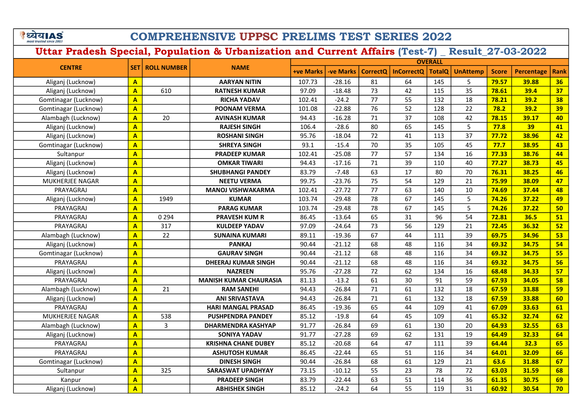े ध्येय AS

## COMPREHENSIVE UPPSC PRELIMS TEST SERIES 2022

|                        |                         |                    |                               | <b>OVERALL</b>   |                 |                 |                   |               |                 |              |                   |             |  |
|------------------------|-------------------------|--------------------|-------------------------------|------------------|-----------------|-----------------|-------------------|---------------|-----------------|--------------|-------------------|-------------|--|
| <b>CENTRE</b>          | SET l                   | <b>ROLL NUMBER</b> | <b>NAME</b>                   | <b>+ve Marks</b> | <b>ve Marks</b> | <b>CorrectQ</b> | <b>InCorrectQ</b> | <b>TotalQ</b> | <b>UnAttemp</b> | <b>Score</b> | <b>Percentage</b> | <b>Rank</b> |  |
| Aliganj (Lucknow)      | $\overline{\mathsf{A}}$ |                    | <b>AARYAN NITIN</b>           | 107.73           | $-28.16$        | 81              | 64                | 145           | 5               | 79.57        | 39.88             | 36          |  |
| Aliganj (Lucknow)      | $\overline{\mathsf{A}}$ | 610                | <b>RATNESH KUMAR</b>          | 97.09            | $-18.48$        | 73              | 42                | 115           | 35              | 78.61        | 39.4              | 37          |  |
| Gomtinagar (Lucknow)   | $\overline{\mathsf{A}}$ |                    | <b>RICHA YADAV</b>            | 102.41           | $-24.2$         | 77              | 55                | 132           | 18              | 78.21        | 39.2              | 38          |  |
| Gomtinagar (Lucknow)   | $\mathbf{A}$            |                    | <b>POONAM VERMA</b>           | 101.08           | $-22.88$        | 76              | 52                | 128           | 22              | 78.2         | 39.2              | 39          |  |
| Alambagh (Lucknow)     | $\overline{\mathsf{A}}$ | 20                 | <b>AVINASH KUMAR</b>          | 94.43            | $-16.28$        | 71              | 37                | 108           | 42              | 78.15        | 39.17             | 40          |  |
| Aliganj (Lucknow)      | $\overline{\mathbf{A}}$ |                    | <b>RAJESH SINGH</b>           | 106.4            | $-28.6$         | 80              | 65                | 145           | 5               | 77.8         | 39                | 41          |  |
| Aliganj (Lucknow)      | $\overline{\mathbf{A}}$ |                    | <b>ROSHANI SINGH</b>          | 95.76            | $-18.04$        | 72              | 41                | 113           | 37              | 77.72        | 38.96             | 42          |  |
| Gomtinagar (Lucknow)   | $\overline{\mathsf{A}}$ |                    | <b>SHREYA SINGH</b>           | 93.1             | $-15.4$         | 70              | 35                | 105           | 45              | 77.7         | 38.95             | 43          |  |
| Sultanpur              | $\overline{\mathbf{A}}$ |                    | <b>PRADEEP KUMAR</b>          | 102.41           | $-25.08$        | 77              | 57                | 134           | 16              | 77.33        | 38.76             | 44          |  |
| Aliganj (Lucknow)      | $\overline{\mathbf{A}}$ |                    | <b>OMKAR TIWARI</b>           | 94.43            | $-17.16$        | 71              | 39                | 110           | 40              | 77.27        | 38.73             | 45          |  |
| Aliganj (Lucknow)      | $\mathbf{A}$            |                    | <b>SHUBHANGI PANDEY</b>       | 83.79            | $-7.48$         | 63              | 17                | 80            | 70              | 76.31        | 38.25             | 46          |  |
| <b>MUKHERJEE NAGAR</b> | $\overline{\mathsf{A}}$ |                    | <b>NEETU VERMA</b>            | 99.75            | $-23.76$        | 75              | 54                | 129           | 21              | 75.99        | 38.09             | 47          |  |
| PRAYAGRAJ              | $\overline{\mathbf{A}}$ |                    | <b>MANOJ VISHWAKARMA</b>      | 102.41           | $-27.72$        | 77              | 63                | 140           | 10              | 74.69        | 37.44             | 48          |  |
| Aliganj (Lucknow)      | $\overline{\mathbf{A}}$ | 1949               | <b>KUMAR</b>                  | 103.74           | $-29.48$        | 78              | 67                | 145           | 5               | 74.26        | 37.22             | 49          |  |
| PRAYAGRAJ              | $\overline{\mathsf{A}}$ |                    | <b>PARAG KUMAR</b>            | 103.74           | $-29.48$        | 78              | 67                | 145           | 5               | 74.26        | 37.22             | 50          |  |
| PRAYAGRAJ              | $\overline{\mathbf{A}}$ | 0 2 9 4            | <b>PRAVESH KUM R</b>          | 86.45            | $-13.64$        | 65              | 31                | 96            | 54              | 72.81        | 36.5              | 51          |  |
| PRAYAGRAJ              | A                       | 317                | <b>KULDEEP YADAV</b>          | 97.09            | $-24.64$        | 73              | 56                | 129           | 21              | 72.45        | 36.32             | 52          |  |
| Alambagh (Lucknow)     | $\overline{A}$          | 22                 | <b>SUNAINA KUMARI</b>         | 89.11            | $-19.36$        | 67              | 44                | 111           | 39              | 69.75        | 34.96             | 53          |  |
| Aliganj (Lucknow)      | $\overline{\mathsf{A}}$ |                    | <b>PANKAJ</b>                 | 90.44            | $-21.12$        | 68              | 48                | 116           | 34              | 69.32        | 34.75             | 54          |  |
| Gomtinagar (Lucknow)   | A                       |                    | <b>GAURAV SINGH</b>           | 90.44            | $-21.12$        | 68              | 48                | 116           | 34              | 69.32        | 34.75             | 55          |  |
| PRAYAGRAJ              | $\overline{\mathbf{A}}$ |                    | <b>DHEERAJ KUMAR SINGH</b>    | 90.44            | $-21.12$        | 68              | 48                | 116           | 34              | 69.32        | 34.75             | 56          |  |
| Aliganj (Lucknow)      | $\overline{A}$          |                    | <b>NAZREEN</b>                | 95.76            | $-27.28$        | 72              | 62                | 134           | 16              | 68.48        | 34.33             | 57          |  |
| PRAYAGRAJ              | A                       |                    | <b>MANISH KUMAR CHAURASIA</b> | 81.13            | $-13.2$         | 61              | 30                | 91            | 59              | 67.93        | 34.05             | 58          |  |
| Alambagh (Lucknow)     | $\overline{\mathsf{A}}$ | 21                 | <b>RAM SANEHI</b>             | 94.43            | $-26.84$        | 71              | 61                | 132           | 18              | 67.59        | 33.88             | 59          |  |
| Aliganj (Lucknow)      | $\overline{A}$          |                    | <b>ANI SRIVASTAVA</b>         | 94.43            | $-26.84$        | 71              | 61                | 132           | 18              | 67.59        | 33.88             | 60          |  |
| PRAYAGRAJ              | $\mathbf{A}$            |                    | <b>HARI MANGAL PRASAD</b>     | 86.45            | $-19.36$        | 65              | 44                | 109           | 41              | 67.09        | 33.63             | 61          |  |
| MUKHERJEE NAGAR        | $\overline{\mathsf{A}}$ | 538                | <b>PUSHPENDRA PANDEY</b>      | 85.12            | $-19.8$         | 64              | 45                | 109           | 41              | 65.32        | 32.74             | 62          |  |
| Alambagh (Lucknow)     | $\overline{A}$          | 3                  | <b>DHARMENDRA KASHYAP</b>     | 91.77            | $-26.84$        | 69              | 61                | 130           | 20              | 64.93        | 32.55             | 63          |  |
| Aliganj (Lucknow)      | $\overline{A}$          |                    | <b>SONIYA YADAV</b>           | 91.77            | $-27.28$        | 69              | 62                | 131           | 19              | 64.49        | 32.33             | 64          |  |
| PRAYAGRAJ              | A                       |                    | <b>KRISHNA CHANE DUBEY</b>    | 85.12            | $-20.68$        | 64              | 47                | 111           | 39              | 64.44        | 32.3              | 65          |  |
| PRAYAGRAJ              | A                       |                    | <b>ASHUTOSH KUMAR</b>         | 86.45            | $-22.44$        | 65              | 51                | 116           | 34              | 64.01        | 32.09             | 66          |  |
| Gomtinagar (Lucknow)   | $\overline{\mathsf{A}}$ |                    | <b>DINESH SINGH</b>           | 90.44            | $-26.84$        | 68              | 61                | 129           | 21              | 63.6         | 31.88             | 67          |  |
| Sultanpur              | A                       | 325                | <b>SARASWAT UPADHYAY</b>      | 73.15            | $-10.12$        | 55              | 23                | 78            | 72              | 63.03        | 31.59             | 68          |  |
| Kanpur                 | A                       |                    | <b>PRADEEP SINGH</b>          | 83.79            | $-22.44$        | 63              | 51                | 114           | 36              | 61.35        | 30.75             | 69          |  |
| Aliganj (Lucknow)      | A                       |                    | <b>ABHISHEK SINGH</b>         | 85.12            | $-24.2$         | 64              | 55                | 119           | 31              | 60.92        | 30.54             | 70          |  |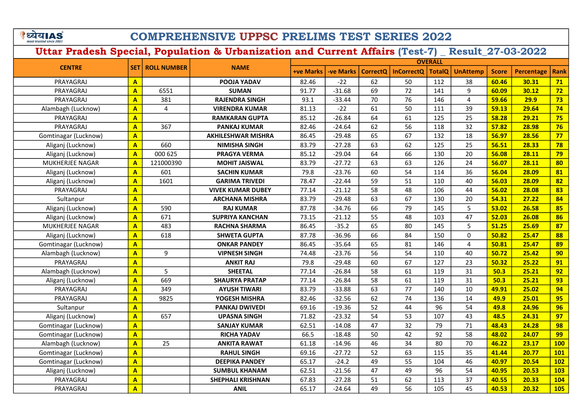े ध्येय AS

## COMPREHENSIVE UPPSC PRELIMS TEST SERIES 2022

|                      |                         |                | <b>SET   ROLL NUMBER</b><br><b>NAME</b> | <b>OVERALL</b>   |                  |                 |                   |               |                 |              |                   |             |  |
|----------------------|-------------------------|----------------|-----------------------------------------|------------------|------------------|-----------------|-------------------|---------------|-----------------|--------------|-------------------|-------------|--|
| <b>CENTRE</b>        |                         |                |                                         | <b>+ve Marks</b> | <b>-ve Marks</b> | <b>CorrectO</b> | <b>InCorrectO</b> | <b>TotalQ</b> | <b>UnAttemp</b> | <b>Score</b> | <b>Percentage</b> | <b>Rank</b> |  |
| PRAYAGRAJ            | $\mathbf{A}$            |                | POOJA YADAV                             | 82.46            | $-22$            | 62              | 50                | 112           | 38              | 60.46        | 30.31             | 71          |  |
| PRAYAGRAJ            | A                       | 6551           | <b>SUMAN</b>                            | 91.77            | $-31.68$         | 69              | 72                | 141           | 9               | 60.09        | 30.12             | 72          |  |
| PRAYAGRAJ            | A                       | 381            | <b>RAJENDRA SINGH</b>                   | 93.1             | $-33.44$         | 70              | 76                | 146           | 4               | 59.66        | 29.9              | 73          |  |
| Alambagh (Lucknow)   | $\overline{\mathbf{A}}$ | $\overline{4}$ | <b>VIRENDRA KUMAR</b>                   | 81.13            | $-22$            | 61              | 50                | 111           | 39              | 59.13        | 29.64             | 74          |  |
| PRAYAGRAJ            | $\mathbf{A}$            |                | <b>RAMKARAN GUPTA</b>                   | 85.12            | $-26.84$         | 64              | 61                | 125           | 25              | 58.28        | 29.21             | 75          |  |
| PRAYAGRAJ            | $\overline{\mathsf{A}}$ | 367            | <b>PANKAJ KUMAR</b>                     | 82.46            | $-24.64$         | 62              | 56                | 118           | 32              | 57.82        | 28.98             | 76          |  |
| Gomtinagar (Lucknow) | $\overline{\mathbf{A}}$ |                | AKHILESHWAR MISHRA                      | 86.45            | $-29.48$         | 65              | 67                | 132           | 18              | 56.97        | 28.56             | 77          |  |
| Aliganj (Lucknow)    | $\overline{\mathbf{A}}$ | 660            | <b>NIMISHA SINGH</b>                    | 83.79            | $-27.28$         | 63              | 62                | 125           | 25              | 56.51        | 28.33             | 78          |  |
| Aliganj (Lucknow)    | $\overline{\mathbf{A}}$ | 000 625        | <b>PRAGYA VERMA</b>                     | 85.12            | $-29.04$         | 64              | 66                | 130           | 20              | 56.08        | 28.11             | 79          |  |
| MUKHERJEE NAGAR      | $\overline{\mathbf{A}}$ | 121000390      | <b>MOHIT JAISWAL</b>                    | 83.79            | $-27.72$         | 63              | 63                | 126           | 24              | 56.07        | 28.11             | 80          |  |
| Aliganj (Lucknow)    | $\mathbf{A}$            | 601            | <b>SACHIN KUMAR</b>                     | 79.8             | $-23.76$         | 60              | 54                | 114           | 36              | 56.04        | 28.09             | 81          |  |
| Aliganj (Lucknow)    | $\mathbf{A}$            | 1601           | <b>GARIMA TRIVEDI</b>                   | 78.47            | $-22.44$         | 59              | 51                | 110           | 40              | 56.03        | 28.09             | 82          |  |
| PRAYAGRAJ            | $\overline{\mathbf{A}}$ |                | <b>VIVEK KUMAR DUBEY</b>                | 77.14            | $-21.12$         | 58              | 48                | 106           | 44              | 56.02        | 28.08             | 83          |  |
| Sultanpur            | $\overline{\mathbf{A}}$ |                | <b>ARCHANA MISHRA</b>                   | 83.79            | $-29.48$         | 63              | 67                | 130           | 20              | 54.31        | 27.22             | 84          |  |
| Aliganj (Lucknow)    | $\overline{\mathbf{A}}$ | 590            | <b>RAJ KUMAR</b>                        | 87.78            | $-34.76$         | 66              | 79                | 145           | 5               | 53.02        | 26.58             | 85          |  |
| Aliganj (Lucknow)    | $\overline{\mathbf{A}}$ | 671            | <b>SUPRIYA KANCHAN</b>                  | 73.15            | $-21.12$         | 55              | 48                | 103           | 47              | 52.03        | 26.08             | 86          |  |
| MUKHERJEE NAGAR      | $\overline{A}$          | 483            | <b>RACHNA SHARMA</b>                    | 86.45            | $-35.2$          | 65              | 80                | 145           | 5               | 51.25        | 25.69             | 87          |  |
| Aliganj (Lucknow)    | A                       | 618            | <b>SHWETA GUPTA</b>                     | 87.78            | $-36.96$         | 66              | 84                | 150           | 0               | 50.82        | 25.47             | 88          |  |
| Gomtinagar (Lucknow) | $\overline{A}$          |                | <b>ONKAR PANDEY</b>                     | 86.45            | $-35.64$         | 65              | 81                | 146           | 4               | 50.81        | 25.47             | 89          |  |
| Alambagh (Lucknow)   | $\overline{A}$          | 9              | <b>VIPNESH SINGH</b>                    | 74.48            | $-23.76$         | 56              | 54                | 110           | 40              | 50.72        | 25.42             | 90          |  |
| PRAYAGRAJ            | $\overline{A}$          |                | <b>ANKIT RAJ</b>                        | 79.8             | $-29.48$         | 60              | 67                | 127           | 23              | 50.32        | 25.22             | 91          |  |
| Alambagh (Lucknow)   | $\overline{A}$          | 5              | <b>SHEETAL</b>                          | 77.14            | $-26.84$         | 58              | 61                | 119           | 31              | 50.3         | 25.21             | 92          |  |
| Aliganj (Lucknow)    | $\mathbf{A}$            | 669            | <b>SHAURYA PRATAP</b>                   | 77.14            | $-26.84$         | 58              | 61                | 119           | 31              | 50.3         | 25.21             | 93          |  |
| PRAYAGRAJ            | $\overline{\mathsf{A}}$ | 349            | <b>AYUSH TIWARI</b>                     | 83.79            | $-33.88$         | 63              | 77                | 140           | 10              | 49.91        | 25.02             | 94          |  |
| PRAYAGRAJ            | A                       | 9825           | YOGESH MISHRA                           | 82.46            | $-32.56$         | 62              | 74                | 136           | 14              | 49.9         | 25.01             | 95          |  |
| Sultanpur            | A                       |                | <b>PANKAJ DWIVEDI</b>                   | 69.16            | $-19.36$         | 52              | 44                | 96            | 54              | 49.8         | 24.96             | 96          |  |
| Aliganj (Lucknow)    | A                       | 657            | <b>UPASNA SINGH</b>                     | 71.82            | $-23.32$         | 54              | 53                | 107           | 43              | 48.5         | 24.31             | 97          |  |
| Gomtinagar (Lucknow) | $\overline{\mathbf{A}}$ |                | <b>SANJAY KUMAR</b>                     | 62.51            | $-14.08$         | 47              | 32                | 79            | 71              | 48.43        | 24.28             | 98          |  |
| Gomtinagar (Lucknow) | $\overline{\mathsf{A}}$ |                | <b>RICHA YADAV</b>                      | 66.5             | $-18.48$         | 50              | 42                | 92            | 58              | 48.02        | 24.07             | 99          |  |
| Alambagh (Lucknow)   | A                       | 25             | <b>ANKITA RAWAT</b>                     | 61.18            | $-14.96$         | 46              | 34                | 80            | 70              | 46.22        | 23.17             | <b>100</b>  |  |
| Gomtinagar (Lucknow) | $\overline{\mathbf{A}}$ |                | <b>RAHUL SINGH</b>                      | 69.16            | $-27.72$         | 52              | 63                | 115           | 35              | 41.44        | 20.77             | <b>101</b>  |  |
| Gomtinagar (Lucknow) | $\overline{\mathbf{A}}$ |                | <b>DEEPIKA PANDEY</b>                   | 65.17            | $-24.2$          | 49              | 55                | 104           | 46              | 40.97        | 20.54             | 102         |  |
| Aliganj (Lucknow)    | A                       |                | <b>SUMBUL KHANAM</b>                    | 62.51            | $-21.56$         | 47              | 49                | 96            | 54              | 40.95        | 20.53             | 103         |  |
| PRAYAGRAJ            | A                       |                | <b>SHEPHALI KRISHNAN</b>                | 67.83            | $-27.28$         | 51              | 62                | 113           | 37              | 40.55        | 20.33             | 104         |  |
| PRAYAGRAJ            | $\overline{\mathbf{A}}$ |                | <b>ANIL</b>                             | 65.17            | $-24.64$         | 49              | 56                | 105           | 45              | 40.53        | 20.32             | <b>105</b>  |  |